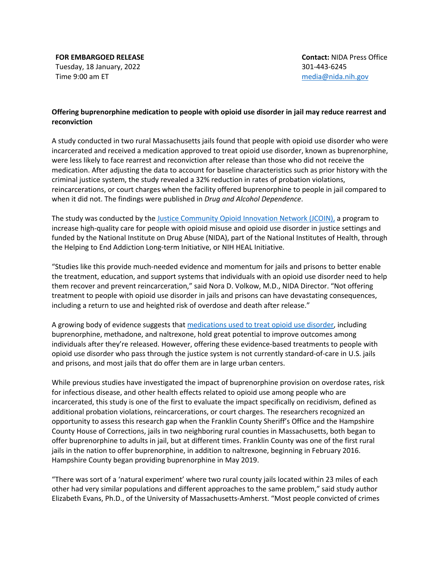**FOR EMBARGOED RELEASE** Tuesday, 18 January, 2022 Time 9:00 am ET

**Contact:** NIDA Press Office 301-443-6245 media@nida.nih.gov

## **Offering buprenorphine medication to people with opioid use disorder in jail may reduce rearrest and reconviction**

A study conducted in two rural Massachusetts jails found that people with opioid use disorder who were incarcerated and received a medication approved to treat opioid use disorder, known as buprenorphine, were less likely to face rearrest and reconviction after release than those who did not receive the medication. After adjusting the data to account for baseline characteristics such as prior history with the criminal justice system, the study revealed a 32% reduction in rates of probation violations, reincarcerations, or court charges when the facility offered buprenorphine to people in jail compared to when it did not. The findings were published in *Drug and Alcohol Dependence*.

The study was conducted by the Justice Community Opioid Innovation Network (JCOIN), a program to increase high-quality care for people with opioid misuse and opioid use disorder in justice settings and funded by the National Institute on Drug Abuse (NIDA), part of the National Institutes of Health, through the Helping to End Addiction Long-term Initiative, or NIH HEAL Initiative.

"Studies like this provide much-needed evidence and momentum for jails and prisons to better enable the treatment, education, and support systems that individuals with an opioid use disorder need to help them recover and prevent reincarceration," said Nora D. Volkow, M.D., NIDA Director. "Not offering treatment to people with opioid use disorder in jails and prisons can have devastating consequences, including a return to use and heighted risk of overdose and death after release."

A growing body of evidence suggests that medications used to treat opioid use disorder, including buprenorphine, methadone, and naltrexone, hold great potential to improve outcomes among individuals after they're released. However, offering these evidence-based treatments to people with opioid use disorder who pass through the justice system is not currently standard-of-care in U.S. jails and prisons, and most jails that do offer them are in large urban centers.

While previous studies have investigated the impact of buprenorphine provision on overdose rates, risk for infectious disease, and other health effects related to opioid use among people who are incarcerated, this study is one of the first to evaluate the impact specifically on recidivism, defined as additional probation violations, reincarcerations, or court charges. The researchers recognized an opportunity to assess this research gap when the Franklin County Sheriff's Office and the Hampshire County House of Corrections, jails in two neighboring rural counties in Massachusetts, both began to offer buprenorphine to adults in jail, but at different times. Franklin County was one of the first rural jails in the nation to offer buprenorphine, in addition to naltrexone, beginning in February 2016. Hampshire County began providing buprenorphine in May 2019.

"There was sort of a 'natural experiment' where two rural county jails located within 23 miles of each other had very similar populations and different approaches to the same problem," said study author Elizabeth Evans, Ph.D., of the University of Massachusetts-Amherst. "Most people convicted of crimes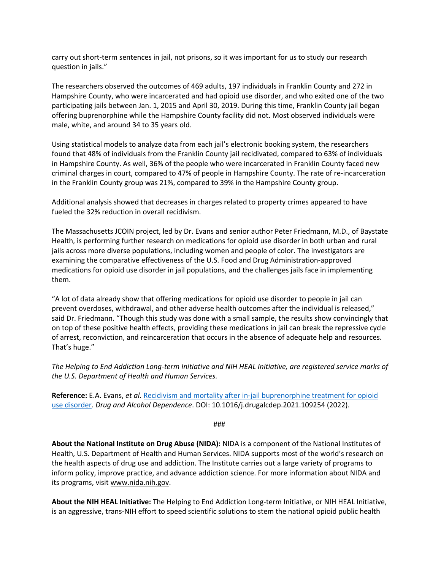carry out short-term sentences in jail, not prisons, so it was important for us to study our research question in jails."

The researchers observed the outcomes of 469 adults, 197 individuals in Franklin County and 272 in Hampshire County, who were incarcerated and had opioid use disorder, and who exited one of the two participating jails between Jan. 1, 2015 and April 30, 2019. During this time, Franklin County jail began offering buprenorphine while the Hampshire County facility did not. Most observed individuals were male, white, and around 34 to 35 years old.

Using statistical models to analyze data from each jail's electronic booking system, the researchers found that 48% of individuals from the Franklin County jail recidivated, compared to 63% of individuals in Hampshire County. As well, 36% of the people who were incarcerated in Franklin County faced new criminal charges in court, compared to 47% of people in Hampshire County. The rate of re-incarceration in the Franklin County group was 21%, compared to 39% in the Hampshire County group.

Additional analysis showed that decreases in charges related to property crimes appeared to have fueled the 32% reduction in overall recidivism.

The Massachusetts JCOIN project, led by Dr. Evans and senior author Peter Friedmann, M.D., of Baystate Health, is performing further research on medications for opioid use disorder in both urban and rural jails across more diverse populations, including women and people of color. The investigators are examining the comparative effectiveness of the U.S. Food and Drug Administration-approved medications for opioid use disorder in jail populations, and the challenges jails face in implementing them.

"A lot of data already show that offering medications for opioid use disorder to people in jail can prevent overdoses, withdrawal, and other adverse health outcomes after the individual is released," said Dr. Friedmann. "Though this study was done with a small sample, the results show convincingly that on top of these positive health effects, providing these medications in jail can break the repressive cycle of arrest, reconviction, and reincarceration that occurs in the absence of adequate help and resources. That's huge."

*The Helping to End Addiction Long-term Initiative and NIH HEAL Initiative, are registered service marks of the U.S. Department of Health and Human Services.*

**Reference:** E.A. Evans, *et al*. Recidivism and mortality after in-jail buprenorphine treatment for opioid use disorder. *Drug and Alcohol Dependence*. DOI: 10.1016/j.drugalcdep.2021.109254 (2022).

###

**About the National Institute on Drug Abuse (NIDA):** NIDA is a component of the National Institutes of Health, U.S. Department of Health and Human Services. NIDA supports most of the world's research on the health aspects of drug use and addiction. The Institute carries out a large variety of programs to inform policy, improve practice, and advance addiction science. For more information about NIDA and its programs, visit www.nida.nih.gov.

**About the NIH HEAL Initiative:** The Helping to End Addiction Long-term Initiative, or NIH HEAL Initiative, is an aggressive, trans-NIH effort to speed scientific solutions to stem the national opioid public health